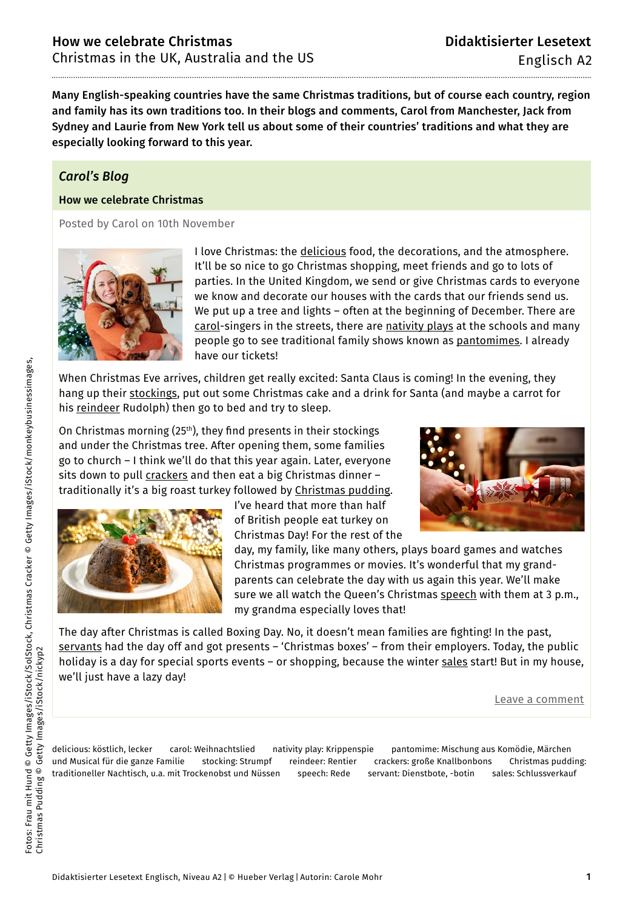Many English-speaking countries have the same Christmas traditions, but of course each country, region and family has its own traditions too. In their blogs and comments, Carol from Manchester, Jack from Sydney and Laurie from New York tell us about some of their countries' traditions and what they are especially looking forward to this year.

# *Carol's Blog*

### How we celebrate Christmas

Posted by Carol on 10th November



I love Christmas: the delicious food, the decorations, and the atmosphere. It'll be so nice to go Christmas shopping, meet friends and go to lots of parties. In the United Kingdom, we send or give Christmas cards to everyone we know and decorate our houses with the cards that our friends send us. We put up a tree and lights – often at the beginning of December. There are carol-singers in the streets, there are nativity plays at the schools and many people go to see traditional family shows known as pantomimes. I already have our tickets!

When Christmas Eve arrives, children get really excited: Santa Claus is coming! In the evening, they hang up their <u>stockings</u>, put out some Christmas cake and a drink for Santa (and maybe a carrot for his reindeer Rudolph) then go to bed and try to sleep.

On Christmas morning (25<sup>th</sup>), they find presents in their stockings and under the Christmas tree. After opening them, some families go to church – I think we'll do that this year again. Later, everyone sits down to pull crackers and then eat a big Christmas dinner traditionally it's a big roast turkey followed by Christmas pudding.



I've heard that more than half of British people eat turkey on Christmas Day! For the rest of the

day, my family, like many others, plays board games and watches

Christmas programmes or movies. It's wonderful that my grandparents can celebrate the day with us again this year. We'll make sure we all watch the Queen's Christmas speech with them at 3 p.m., my grandma especially loves that!

The day after Christmas is called Boxing Day. No, it doesn't mean families are fighting! In the past, servants had the day off and got presents – 'Christmas boxes' – from their employers. Today, the public holiday is a day for special sports events - or shopping, because the winter sales start! But in my house, we'll just have a lazy day!

Leave a comment

delicious: köstlich, lecker carol: Weihnachtslied nativity play: Krippenspie pantomime: Mischung aus Komödie, Märchen und Musical für die ganze Familie stocking: Strumpf reindeer: Rentier crackers: große Knallbonbons Christmas pudding: traditioneller Nachtisch, u.a. mit Trockenobst und Nüssen speech: Rede servant: Dienstbote, -botin sales: Schlussverkauf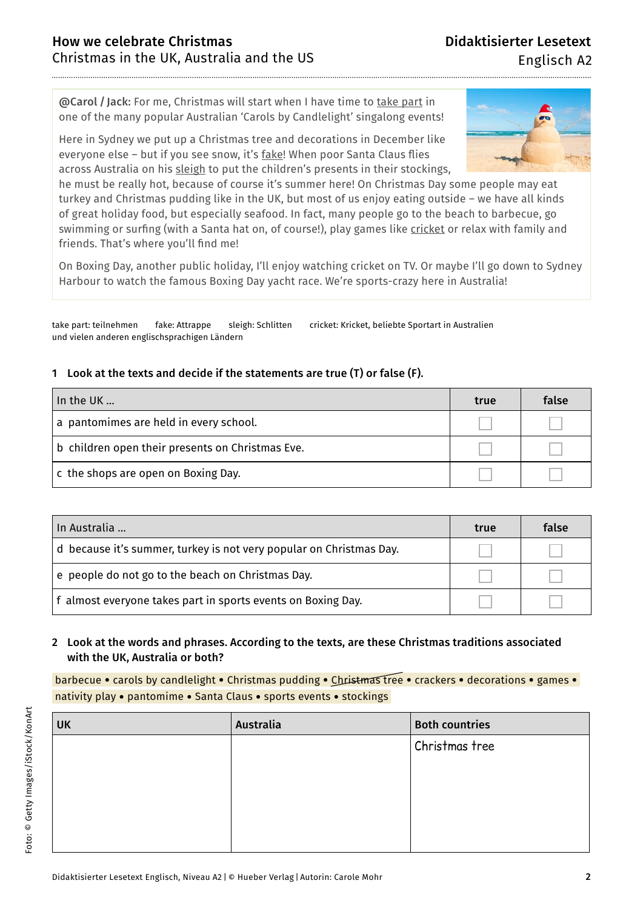@Carol / Jack: For me, Christmas will start when I have time to take part in one of the many popular Australian 'Carols by Candlelight' singalong events!

Here in Sydney we put up a Christmas tree and decorations in December like everyone else – but if you see snow, it's fake! When poor Santa Claus flies across Australia on his sleigh to put the children's presents in their stockings,



he must be really hot, because of course it's summer here! On Christmas Day some people may eat turkey and Christmas pudding like in the UK, but most of us enjoy eating outside – we have all kinds of great holiday food, but especially seafood. In fact, many people go to the beach to barbecue, go swimming or surfing (with a Santa hat on, of course!), play games like cricket or relax with family and friends. That's where you'll find me!

On Boxing Day, another public holiday, I'll enjoy watching cricket on TV. Or maybe I'll go down to Sydney Harbour to watch the famous Boxing Day yacht race. We're sports-crazy here in Australia!

take part: teilnehmen fake: Attrappe sleigh: Schlitten cricket: Kricket, beliebte Sportart in Australien und vielen anderen englischsprachigen Ländern

### 1 Look at the texts and decide if the statements are true (T) or false (F).

| In the UK                                        | true | false |
|--------------------------------------------------|------|-------|
| a pantomimes are held in every school.           |      |       |
| b children open their presents on Christmas Eve. |      |       |
| c the shops are open on Boxing Day.              |      |       |

| In Australia                                                        | true | false |
|---------------------------------------------------------------------|------|-------|
| d because it's summer, turkey is not very popular on Christmas Day. |      |       |
| e people do not go to the beach on Christmas Day.                   |      |       |
| f almost everyone takes part in sports events on Boxing Day.        |      |       |

# 2 Look at the words and phrases. According to the texts, are these Christmas traditions associated with the UK, Australia or both?

barbecue • carols by candlelight • Christmas pudding • Christmas tree • crackers • decorations • games • nativity play • pantomime • Santa Claus • sports events • stockings

| <b>UK</b> | Australia | <b>Both countries</b> |
|-----------|-----------|-----------------------|
|           |           | Christmas tree        |
|           |           |                       |
|           |           |                       |
|           |           |                       |
|           |           |                       |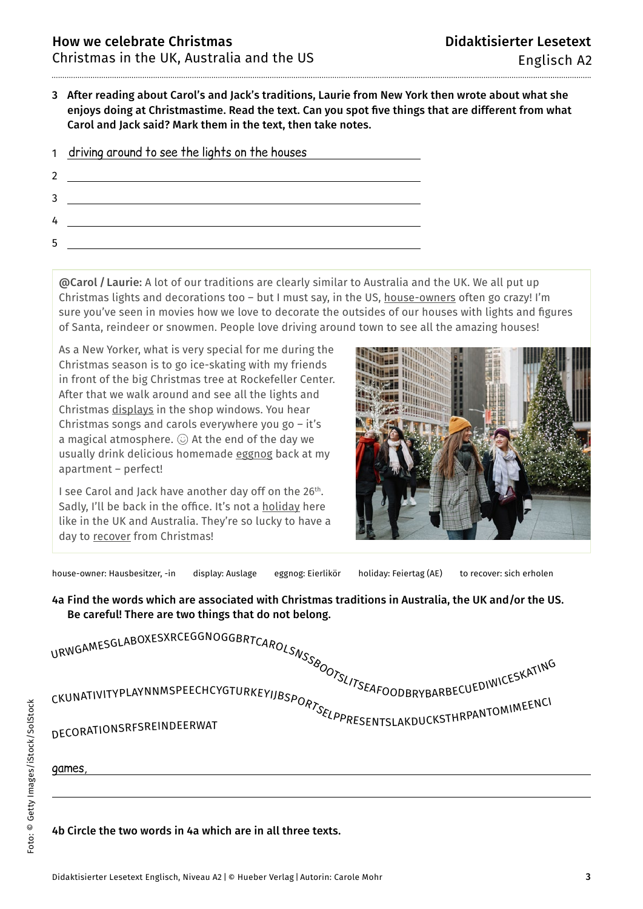3 After reading about Carol's and Jack's traditions, Laurie from New York then wrote about what she enjoys doing at Christmastime. Read the text. Can you spot five things that are different from what Carol and Jack said? Mark them in the text, then take notes.

| $\mathbf{1}$ | driving around to see the lights on the houses |
|--------------|------------------------------------------------|
|              |                                                |
|              |                                                |
| h            |                                                |
|              |                                                |

@Carol / Laurie: A lot of our traditions are clearly similar to Australia and the UK. We all put up Christmas lights and decorations too – but I must say, in the US, house-owners often go crazy! I'm sure you've seen in movies how we love to decorate the outsides of our houses with lights and figures of Santa, reindeer or snowmen. People love driving around town to see all the amazing houses!

As a New Yorker, what is very special for me during the Christmas season is to go ice-skating with my friends in front of the big Christmas tree at Rockefeller Center. After that we walk around and see all the lights and Christmas displays in the shop windows. You hear Christmas songs and carols everywhere you go – it's a magical atmosphere.  $\odot$  At the end of the day we usually drink delicious homemade eggnog back at my apartment – perfect!

I see Carol and Jack have another day off on the 26<sup>th</sup>. Sadly, I'll be back in the office. It's not a holiday here like in the UK and Australia. They're so lucky to have a day to recover from Christmas!



house-owner: Hausbesitzer, -in display: Auslage eggnog: Eierlikör holiday: Feiertag (AE) to recover: sich erholen

4a Find the words which are associated with Christmas traditions in Australia, the UK and/or the US. Be careful! There are two things that do not belong.

| RWGAMESGLABOXESXKLEUUINUUUDRILAROLSNSSBOOTSLITSEAFOODBRYBARBECUEDIWICESKATING<br>CKUNATIVITYPLAYNNMSPEECHCYGTURKEYIJBSPORTSELARDUCKSTHRPANTOMIMEENCI |  |
|------------------------------------------------------------------------------------------------------------------------------------------------------|--|
| DECORATIONSRFSREINDEERWAT                                                                                                                            |  |
| games,                                                                                                                                               |  |
|                                                                                                                                                      |  |

#### 4b Circle the two words in 4a which are in all three texts.